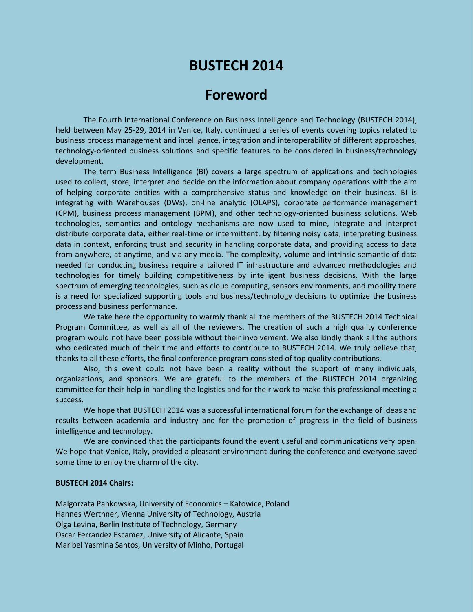## **BUSTECH 2014**

## **Foreword**

The Fourth International Conference on Business Intelligence and Technology (BUSTECH 2014), held between May 25-29, 2014 in Venice, Italy, continued a series of events covering topics related to business process management and intelligence, integration and interoperability of different approaches, technology-oriented business solutions and specific features to be considered in business/technology development.

The term Business Intelligence (BI) covers a large spectrum of applications and technologies used to collect, store, interpret and decide on the information about company operations with the aim of helping corporate entities with a comprehensive status and knowledge on their business. BI is integrating with Warehouses (DWs), on-line analytic (OLAPS), corporate performance management (CPM), business process management (BPM), and other technology-oriented business solutions. Web technologies, semantics and ontology mechanisms are now used to mine, integrate and interpret distribute corporate data, either real-time or intermittent, by filtering noisy data, interpreting business data in context, enforcing trust and security in handling corporate data, and providing access to data from anywhere, at anytime, and via any media. The complexity, volume and intrinsic semantic of data needed for conducting business require a tailored IT infrastructure and advanced methodologies and technologies for timely building competitiveness by intelligent business decisions. With the large spectrum of emerging technologies, such as cloud computing, sensors environments, and mobility there is a need for specialized supporting tools and business/technology decisions to optimize the business process and business performance.

We take here the opportunity to warmly thank all the members of the BUSTECH 2014 Technical Program Committee, as well as all of the reviewers. The creation of such a high quality conference program would not have been possible without their involvement. We also kindly thank all the authors who dedicated much of their time and efforts to contribute to BUSTECH 2014. We truly believe that, thanks to all these efforts, the final conference program consisted of top quality contributions.

Also, this event could not have been a reality without the support of many individuals, organizations, and sponsors. We are grateful to the members of the BUSTECH 2014 organizing committee for their help in handling the logistics and for their work to make this professional meeting a success.

We hope that BUSTECH 2014 was a successful international forum for the exchange of ideas and results between academia and industry and for the promotion of progress in the field of business intelligence and technology.

We are convinced that the participants found the event useful and communications very open. We hope that Venice, Italy, provided a pleasant environment during the conference and everyone saved some time to enjoy the charm of the city.

## **BUSTECH 2014 Chairs:**

Malgorzata Pankowska, University of Economics – Katowice, Poland Hannes Werthner, Vienna University of Technology, Austria Olga Levina, Berlin Institute of Technology, Germany Oscar Ferrandez Escamez, University of Alicante, Spain Maribel Yasmina Santos, University of Minho, Portugal